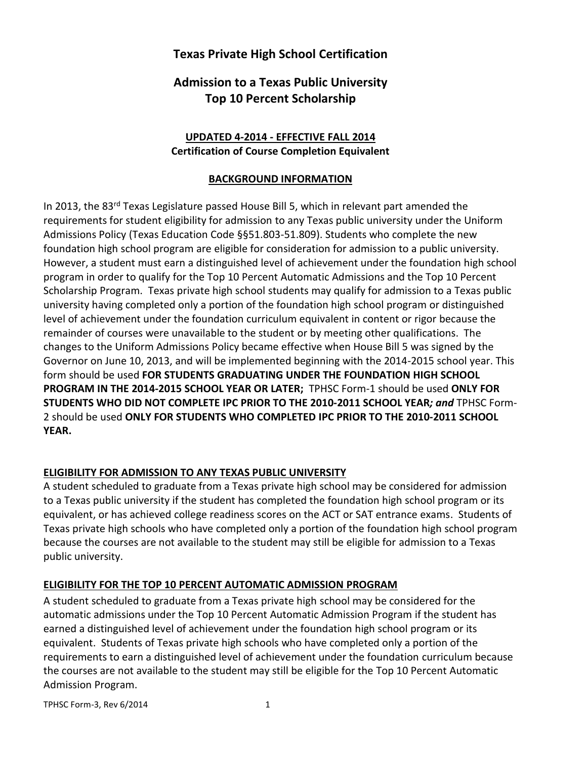# **Texas Private High School Certification**

# **Admission to a Texas Public University Top 10 Percent Scholarship**

### **UPDATED 4-2014 - EFFECTIVE FALL 2014 Certification of Course Completion Equivalent**

### **BACKGROUND INFORMATION**

In 2013, the 83<sup>rd</sup> Texas Legislature passed House Bill 5, which in relevant part amended the requirements for student eligibility for admission to any Texas public university under the Uniform Admissions Policy (Texas Education Code §§51.803-51.809). Students who complete the new foundation high school program are eligible for consideration for admission to a public university. However, a student must earn a distinguished level of achievement under the foundation high school program in order to qualify for the Top 10 Percent Automatic Admissions and the Top 10 Percent Scholarship Program. Texas private high school students may qualify for admission to a Texas public university having completed only a portion of the foundation high school program or distinguished level of achievement under the foundation curriculum equivalent in content or rigor because the remainder of courses were unavailable to the student or by meeting other qualifications. The changes to the Uniform Admissions Policy became effective when House Bill 5 was signed by the Governor on June 10, 2013, and will be implemented beginning with the 2014-2015 school year. This form should be used **FOR STUDENTS GRADUATING UNDER THE FOUNDATION HIGH SCHOOL PROGRAM IN THE 2014-2015 SCHOOL YEAR OR LATER;** TPHSC Form-1 should be used **ONLY FOR STUDENTS WHO DID NOT COMPLETE IPC PRIOR TO THE 2010-2011 SCHOOL YEAR***; and* TPHSC Form-2 should be used **ONLY FOR STUDENTS WHO COMPLETED IPC PRIOR TO THE 2010-2011 SCHOOL YEAR.**

### **ELIGIBILITY FOR ADMISSION TO ANY TEXAS PUBLIC UNIVERSITY**

A student scheduled to graduate from a Texas private high school may be considered for admission to a Texas public university if the student has completed the foundation high school program or its equivalent, or has achieved college readiness scores on the ACT or SAT entrance exams. Students of Texas private high schools who have completed only a portion of the foundation high school program because the courses are not available to the student may still be eligible for admission to a Texas public university.

### **ELIGIBILITY FOR THE TOP 10 PERCENT AUTOMATIC ADMISSION PROGRAM**

A student scheduled to graduate from a Texas private high school may be considered for the automatic admissions under the Top 10 Percent Automatic Admission Program if the student has earned a distinguished level of achievement under the foundation high school program or its equivalent. Students of Texas private high schools who have completed only a portion of the requirements to earn a distinguished level of achievement under the foundation curriculum because the courses are not available to the student may still be eligible for the Top 10 Percent Automatic Admission Program.

TPHSC Form-3, Rev 6/2014 1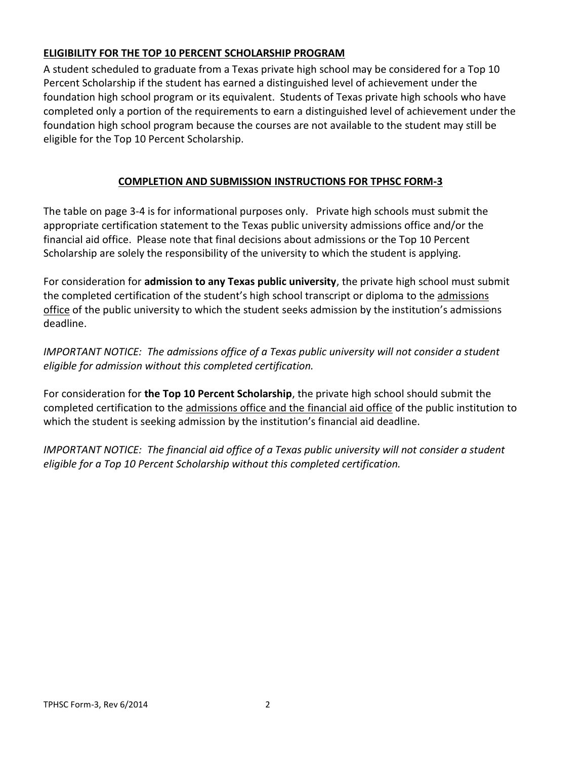### **ELIGIBILITY FOR THE TOP 10 PERCENT SCHOLARSHIP PROGRAM**

A student scheduled to graduate from a Texas private high school may be considered for a Top 10 Percent Scholarship if the student has earned a distinguished level of achievement under the foundation high school program or its equivalent. Students of Texas private high schools who have completed only a portion of the requirements to earn a distinguished level of achievement under the foundation high school program because the courses are not available to the student may still be eligible for the Top 10 Percent Scholarship.

## **COMPLETION AND SUBMISSION INSTRUCTIONS FOR TPHSC FORM-3**

The table on page 3-4 is for informational purposes only. Private high schools must submit the appropriate certification statement to the Texas public university admissions office and/or the financial aid office. Please note that final decisions about admissions or the Top 10 Percent Scholarship are solely the responsibility of the university to which the student is applying.

For consideration for **admission to any Texas public university**, the private high school must submit the completed certification of the student's high school transcript or diploma to the admissions office of the public university to which the student seeks admission by the institution's admissions deadline.

*IMPORTANT NOTICE: The admissions office of a Texas public university will not consider a student eligible for admission without this completed certification.*

For consideration for **the Top 10 Percent Scholarship**, the private high school should submit the completed certification to the admissions office and the financial aid office of the public institution to which the student is seeking admission by the institution's financial aid deadline.

*IMPORTANT NOTICE: The financial aid office of a Texas public university will not consider a student eligible for a Top 10 Percent Scholarship without this completed certification.*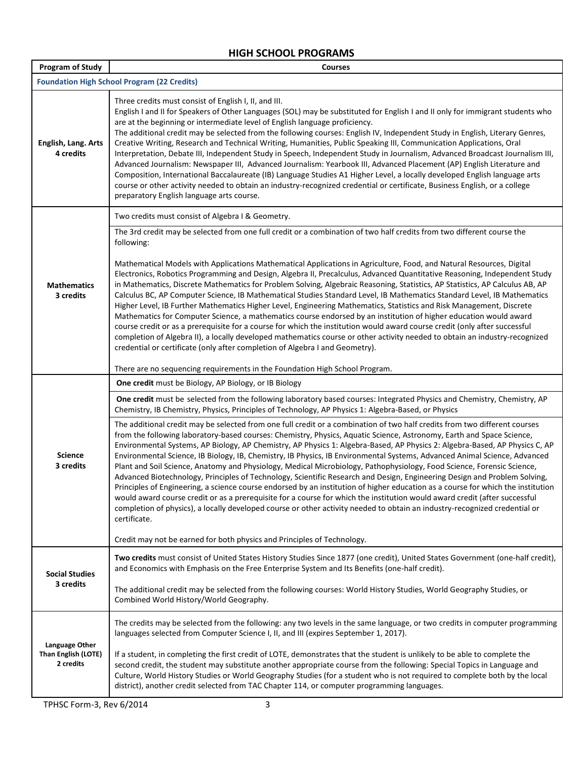## **HIGH SCHOOL PROGRAMS**

| <b>Program of Study</b>            | <b>Courses</b>                                                                                                                                                                                                                                                                                                                                                                                                                                                                                                                                                                                                                                                                                                                                                                                                                                                                                                                                                                                                                                                                                                                                                                         |  |
|------------------------------------|----------------------------------------------------------------------------------------------------------------------------------------------------------------------------------------------------------------------------------------------------------------------------------------------------------------------------------------------------------------------------------------------------------------------------------------------------------------------------------------------------------------------------------------------------------------------------------------------------------------------------------------------------------------------------------------------------------------------------------------------------------------------------------------------------------------------------------------------------------------------------------------------------------------------------------------------------------------------------------------------------------------------------------------------------------------------------------------------------------------------------------------------------------------------------------------|--|
|                                    | <b>Foundation High School Program (22 Credits)</b>                                                                                                                                                                                                                                                                                                                                                                                                                                                                                                                                                                                                                                                                                                                                                                                                                                                                                                                                                                                                                                                                                                                                     |  |
| English, Lang. Arts<br>4 credits   | Three credits must consist of English I, II, and III.<br>English I and II for Speakers of Other Languages (SOL) may be substituted for English I and II only for immigrant students who<br>are at the beginning or intermediate level of English language proficiency.<br>The additional credit may be selected from the following courses: English IV, Independent Study in English, Literary Genres,<br>Creative Writing, Research and Technical Writing, Humanities, Public Speaking III, Communication Applications, Oral<br>Interpretation, Debate III, Independent Study in Speech, Independent Study in Journalism, Advanced Broadcast Journalism III,<br>Advanced Journalism: Newspaper III, Advanced Journalism: Yearbook III, Advanced Placement (AP) English Literature and<br>Composition, International Baccalaureate (IB) Language Studies A1 Higher Level, a locally developed English language arts<br>course or other activity needed to obtain an industry-recognized credential or certificate, Business English, or a college<br>preparatory English language arts course.                                                                                         |  |
|                                    | Two credits must consist of Algebra I & Geometry.                                                                                                                                                                                                                                                                                                                                                                                                                                                                                                                                                                                                                                                                                                                                                                                                                                                                                                                                                                                                                                                                                                                                      |  |
|                                    | The 3rd credit may be selected from one full credit or a combination of two half credits from two different course the<br>following:                                                                                                                                                                                                                                                                                                                                                                                                                                                                                                                                                                                                                                                                                                                                                                                                                                                                                                                                                                                                                                                   |  |
| <b>Mathematics</b><br>3 credits    | Mathematical Models with Applications Mathematical Applications in Agriculture, Food, and Natural Resources, Digital<br>Electronics, Robotics Programming and Design, Algebra II, Precalculus, Advanced Quantitative Reasoning, Independent Study<br>in Mathematics, Discrete Mathematics for Problem Solving, Algebraic Reasoning, Statistics, AP Statistics, AP Calculus AB, AP<br>Calculus BC, AP Computer Science, IB Mathematical Studies Standard Level, IB Mathematics Standard Level, IB Mathematics<br>Higher Level, IB Further Mathematics Higher Level, Engineering Mathematics, Statistics and Risk Management, Discrete<br>Mathematics for Computer Science, a mathematics course endorsed by an institution of higher education would award<br>course credit or as a prerequisite for a course for which the institution would award course credit (only after successful<br>completion of Algebra II), a locally developed mathematics course or other activity needed to obtain an industry-recognized<br>credential or certificate (only after completion of Algebra I and Geometry).                                                                                 |  |
|                                    | There are no sequencing requirements in the Foundation High School Program.                                                                                                                                                                                                                                                                                                                                                                                                                                                                                                                                                                                                                                                                                                                                                                                                                                                                                                                                                                                                                                                                                                            |  |
|                                    | One credit must be Biology, AP Biology, or IB Biology                                                                                                                                                                                                                                                                                                                                                                                                                                                                                                                                                                                                                                                                                                                                                                                                                                                                                                                                                                                                                                                                                                                                  |  |
|                                    | One credit must be selected from the following laboratory based courses: Integrated Physics and Chemistry, Chemistry, AP<br>Chemistry, IB Chemistry, Physics, Principles of Technology, AP Physics 1: Algebra-Based, or Physics                                                                                                                                                                                                                                                                                                                                                                                                                                                                                                                                                                                                                                                                                                                                                                                                                                                                                                                                                        |  |
| <b>Science</b><br>3 credits        | The additional credit may be selected from one full credit or a combination of two half credits from two different courses<br>from the following laboratory-based courses: Chemistry, Physics, Aquatic Science, Astronomy, Earth and Space Science,<br>Environmental Systems, AP Biology, AP Chemistry, AP Physics 1: Algebra-Based, AP Physics 2: Algebra-Based, AP Physics C, AP<br>Environmental Science, IB Biology, IB, Chemistry, IB Physics, IB Environmental Systems, Advanced Animal Science, Advanced<br>Plant and Soil Science, Anatomy and Physiology, Medical Microbiology, Pathophysiology, Food Science, Forensic Science,<br>Advanced Biotechnology, Principles of Technology, Scientific Research and Design, Engineering Design and Problem Solving,<br>Principles of Engineering, a science course endorsed by an institution of higher education as a course for which the institution<br>would award course credit or as a prerequisite for a course for which the institution would award credit (after successful<br>completion of physics), a locally developed course or other activity needed to obtain an industry-recognized credential or<br>certificate. |  |
|                                    | Credit may not be earned for both physics and Principles of Technology.                                                                                                                                                                                                                                                                                                                                                                                                                                                                                                                                                                                                                                                                                                                                                                                                                                                                                                                                                                                                                                                                                                                |  |
| <b>Social Studies</b><br>3 credits | Two credits must consist of United States History Studies Since 1877 (one credit), United States Government (one-half credit),<br>and Economics with Emphasis on the Free Enterprise System and Its Benefits (one-half credit).                                                                                                                                                                                                                                                                                                                                                                                                                                                                                                                                                                                                                                                                                                                                                                                                                                                                                                                                                        |  |
|                                    | The additional credit may be selected from the following courses: World History Studies, World Geography Studies, or<br>Combined World History/World Geography.                                                                                                                                                                                                                                                                                                                                                                                                                                                                                                                                                                                                                                                                                                                                                                                                                                                                                                                                                                                                                        |  |
| Language Other                     | The credits may be selected from the following: any two levels in the same language, or two credits in computer programming<br>languages selected from Computer Science I, II, and III (expires September 1, 2017).                                                                                                                                                                                                                                                                                                                                                                                                                                                                                                                                                                                                                                                                                                                                                                                                                                                                                                                                                                    |  |
| Than English (LOTE)<br>2 credits   | If a student, in completing the first credit of LOTE, demonstrates that the student is unlikely to be able to complete the<br>second credit, the student may substitute another appropriate course from the following: Special Topics in Language and<br>Culture, World History Studies or World Geography Studies (for a student who is not required to complete both by the local<br>district), another credit selected from TAC Chapter 114, or computer programming languages.                                                                                                                                                                                                                                                                                                                                                                                                                                                                                                                                                                                                                                                                                                     |  |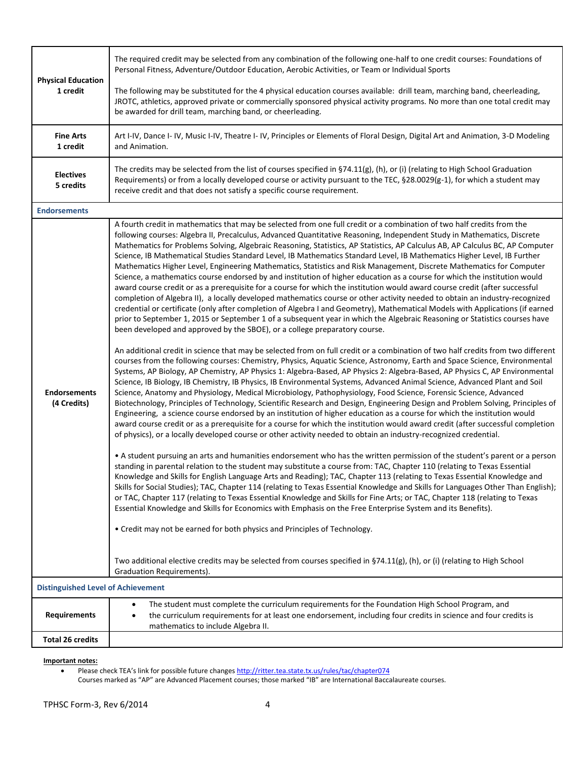|                                           | The required credit may be selected from any combination of the following one-half to one credit courses: Foundations of<br>Personal Fitness, Adventure/Outdoor Education, Aerobic Activities, or Team or Individual Sports                                                                                                                                                                                                                                                                                                                                                                                                                                                                                                                                                                                                                                                                                                                                                                                                                                                                                                                                                                                                                                                                                                                                                                                                                                                                                                                                                                                                                                                                                                                                                                                                                                                                                                                                                                                                                                                                                                                                                                                                                                                                                                                                                                                                                                                                                                                                                                                                                                                                                                                                                                                                                                                                                                                                                                                                                                                                                                                                                                                                                                                                                                                                                                                                                                                                                                                                                 |
|-------------------------------------------|-----------------------------------------------------------------------------------------------------------------------------------------------------------------------------------------------------------------------------------------------------------------------------------------------------------------------------------------------------------------------------------------------------------------------------------------------------------------------------------------------------------------------------------------------------------------------------------------------------------------------------------------------------------------------------------------------------------------------------------------------------------------------------------------------------------------------------------------------------------------------------------------------------------------------------------------------------------------------------------------------------------------------------------------------------------------------------------------------------------------------------------------------------------------------------------------------------------------------------------------------------------------------------------------------------------------------------------------------------------------------------------------------------------------------------------------------------------------------------------------------------------------------------------------------------------------------------------------------------------------------------------------------------------------------------------------------------------------------------------------------------------------------------------------------------------------------------------------------------------------------------------------------------------------------------------------------------------------------------------------------------------------------------------------------------------------------------------------------------------------------------------------------------------------------------------------------------------------------------------------------------------------------------------------------------------------------------------------------------------------------------------------------------------------------------------------------------------------------------------------------------------------------------------------------------------------------------------------------------------------------------------------------------------------------------------------------------------------------------------------------------------------------------------------------------------------------------------------------------------------------------------------------------------------------------------------------------------------------------------------------------------------------------------------------------------------------------------------------------------------------------------------------------------------------------------------------------------------------------------------------------------------------------------------------------------------------------------------------------------------------------------------------------------------------------------------------------------------------------------------------------------------------------------------------------------------------------|
| <b>Physical Education</b><br>1 credit     | The following may be substituted for the 4 physical education courses available: drill team, marching band, cheerleading,<br>JROTC, athletics, approved private or commercially sponsored physical activity programs. No more than one total credit may<br>be awarded for drill team, marching band, or cheerleading.                                                                                                                                                                                                                                                                                                                                                                                                                                                                                                                                                                                                                                                                                                                                                                                                                                                                                                                                                                                                                                                                                                                                                                                                                                                                                                                                                                                                                                                                                                                                                                                                                                                                                                                                                                                                                                                                                                                                                                                                                                                                                                                                                                                                                                                                                                                                                                                                                                                                                                                                                                                                                                                                                                                                                                                                                                                                                                                                                                                                                                                                                                                                                                                                                                                       |
| <b>Fine Arts</b><br>1 credit              | Art I-IV, Dance I- IV, Music I-IV, Theatre I- IV, Principles or Elements of Floral Design, Digital Art and Animation, 3-D Modeling<br>and Animation.                                                                                                                                                                                                                                                                                                                                                                                                                                                                                                                                                                                                                                                                                                                                                                                                                                                                                                                                                                                                                                                                                                                                                                                                                                                                                                                                                                                                                                                                                                                                                                                                                                                                                                                                                                                                                                                                                                                                                                                                                                                                                                                                                                                                                                                                                                                                                                                                                                                                                                                                                                                                                                                                                                                                                                                                                                                                                                                                                                                                                                                                                                                                                                                                                                                                                                                                                                                                                        |
| <b>Electives</b><br>5 credits             | The credits may be selected from the list of courses specified in §74.11(g), (h), or (i) (relating to High School Graduation<br>Requirements) or from a locally developed course or activity pursuant to the TEC, §28.0029(g-1), for which a student may<br>receive credit and that does not satisfy a specific course requirement.                                                                                                                                                                                                                                                                                                                                                                                                                                                                                                                                                                                                                                                                                                                                                                                                                                                                                                                                                                                                                                                                                                                                                                                                                                                                                                                                                                                                                                                                                                                                                                                                                                                                                                                                                                                                                                                                                                                                                                                                                                                                                                                                                                                                                                                                                                                                                                                                                                                                                                                                                                                                                                                                                                                                                                                                                                                                                                                                                                                                                                                                                                                                                                                                                                         |
| <b>Endorsements</b>                       |                                                                                                                                                                                                                                                                                                                                                                                                                                                                                                                                                                                                                                                                                                                                                                                                                                                                                                                                                                                                                                                                                                                                                                                                                                                                                                                                                                                                                                                                                                                                                                                                                                                                                                                                                                                                                                                                                                                                                                                                                                                                                                                                                                                                                                                                                                                                                                                                                                                                                                                                                                                                                                                                                                                                                                                                                                                                                                                                                                                                                                                                                                                                                                                                                                                                                                                                                                                                                                                                                                                                                                             |
| <b>Endorsements</b><br>(4 Credits)        | A fourth credit in mathematics that may be selected from one full credit or a combination of two half credits from the<br>following courses: Algebra II, Precalculus, Advanced Quantitative Reasoning, Independent Study in Mathematics, Discrete<br>Mathematics for Problems Solving, Algebraic Reasoning, Statistics, AP Statistics, AP Calculus AB, AP Calculus BC, AP Computer<br>Science, IB Mathematical Studies Standard Level, IB Mathematics Standard Level, IB Mathematics Higher Level, IB Further<br>Mathematics Higher Level, Engineering Mathematics, Statistics and Risk Management, Discrete Mathematics for Computer<br>Science, a mathematics course endorsed by and institution of higher education as a course for which the institution would<br>award course credit or as a prerequisite for a course for which the institution would award course credit (after successful<br>completion of Algebra II), a locally developed mathematics course or other activity needed to obtain an industry-recognized<br>credential or certificate (only after completion of Algebra I and Geometry), Mathematical Models with Applications (if earned<br>prior to September 1, 2015 or September 1 of a subsequent year in which the Algebraic Reasoning or Statistics courses have<br>been developed and approved by the SBOE), or a college preparatory course.<br>An additional credit in science that may be selected from on full credit or a combination of two half credits from two different<br>courses from the following courses: Chemistry, Physics, Aquatic Science, Astronomy, Earth and Space Science, Environmental<br>Systems, AP Biology, AP Chemistry, AP Physics 1: Algebra-Based, AP Physics 2: Algebra-Based, AP Physics C, AP Environmental<br>Science, IB Biology, IB Chemistry, IB Physics, IB Environmental Systems, Advanced Animal Science, Advanced Plant and Soil<br>Science, Anatomy and Physiology, Medical Microbiology, Pathophysiology, Food Science, Forensic Science, Advanced<br>Biotechnology, Principles of Technology, Scientific Research and Design, Engineering Design and Problem Solving, Principles of<br>Engineering, a science course endorsed by an institution of higher education as a course for which the institution would<br>award course credit or as a prerequisite for a course for which the institution would award credit (after successful completion<br>of physics), or a locally developed course or other activity needed to obtain an industry-recognized credential.<br>• A student pursuing an arts and humanities endorsement who has the written permission of the student's parent or a person<br>standing in parental relation to the student may substitute a course from: TAC, Chapter 110 (relating to Texas Essential<br>Knowledge and Skills for English Language Arts and Reading); TAC, Chapter 113 (relating to Texas Essential Knowledge and<br>Skills for Social Studies); TAC, Chapter 114 (relating to Texas Essential Knowledge and Skills for Languages Other Than English);<br>or TAC, Chapter 117 (relating to Texas Essential Knowledge and Skills for Fine Arts; or TAC, Chapter 118 (relating to Texas<br>Essential Knowledge and Skills for Economics with Emphasis on the Free Enterprise System and its Benefits).<br>• Credit may not be earned for both physics and Principles of Technology.<br>Two additional elective credits may be selected from courses specified in §74.11(g), (h), or (i) (relating to High School<br><b>Graduation Requirements).</b> |
| <b>Distinguished Level of Achievement</b> |                                                                                                                                                                                                                                                                                                                                                                                                                                                                                                                                                                                                                                                                                                                                                                                                                                                                                                                                                                                                                                                                                                                                                                                                                                                                                                                                                                                                                                                                                                                                                                                                                                                                                                                                                                                                                                                                                                                                                                                                                                                                                                                                                                                                                                                                                                                                                                                                                                                                                                                                                                                                                                                                                                                                                                                                                                                                                                                                                                                                                                                                                                                                                                                                                                                                                                                                                                                                                                                                                                                                                                             |
|                                           | The student must complete the curriculum requirements for the Foundation High School Program, and<br>$\bullet$                                                                                                                                                                                                                                                                                                                                                                                                                                                                                                                                                                                                                                                                                                                                                                                                                                                                                                                                                                                                                                                                                                                                                                                                                                                                                                                                                                                                                                                                                                                                                                                                                                                                                                                                                                                                                                                                                                                                                                                                                                                                                                                                                                                                                                                                                                                                                                                                                                                                                                                                                                                                                                                                                                                                                                                                                                                                                                                                                                                                                                                                                                                                                                                                                                                                                                                                                                                                                                                              |
| <b>Requirements</b>                       | the curriculum requirements for at least one endorsement, including four credits in science and four credits is<br>mathematics to include Algebra II.                                                                                                                                                                                                                                                                                                                                                                                                                                                                                                                                                                                                                                                                                                                                                                                                                                                                                                                                                                                                                                                                                                                                                                                                                                                                                                                                                                                                                                                                                                                                                                                                                                                                                                                                                                                                                                                                                                                                                                                                                                                                                                                                                                                                                                                                                                                                                                                                                                                                                                                                                                                                                                                                                                                                                                                                                                                                                                                                                                                                                                                                                                                                                                                                                                                                                                                                                                                                                       |
| <b>Total 26 credits</b>                   |                                                                                                                                                                                                                                                                                                                                                                                                                                                                                                                                                                                                                                                                                                                                                                                                                                                                                                                                                                                                                                                                                                                                                                                                                                                                                                                                                                                                                                                                                                                                                                                                                                                                                                                                                                                                                                                                                                                                                                                                                                                                                                                                                                                                                                                                                                                                                                                                                                                                                                                                                                                                                                                                                                                                                                                                                                                                                                                                                                                                                                                                                                                                                                                                                                                                                                                                                                                                                                                                                                                                                                             |

**Important notes:**

• Please check TEA's link for possible future changes <http://ritter.tea.state.tx.us/rules/tac/chapter074>

Courses marked as "AP" are Advanced Placement courses; those marked "IB" are International Baccalaureate courses.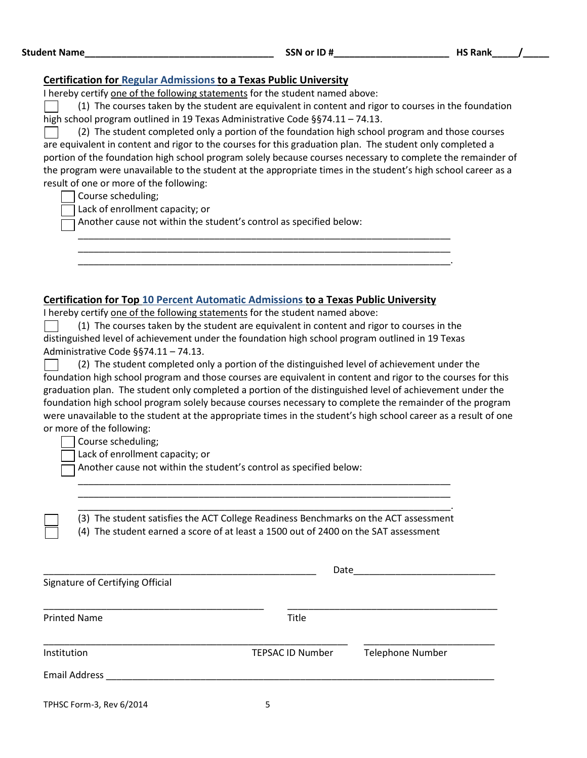| <b>Student Name</b> | SSN or ID# | <b>HS Rank</b> |
|---------------------|------------|----------------|
|                     |            |                |

#### **Certification for Regular Admissions to a Texas Public University**

I hereby certify one of the following statements for the student named above:

(1) The courses taken by the student are equivalent in content and rigor to courses in the foundation high school program outlined in 19 Texas Administrative Code §§74.11 – 74.13.

(2) The student completed only a portion of the foundation high school program and those courses are equivalent in content and rigor to the courses for this graduation plan. The student only completed a portion of the foundation high school program solely because courses necessary to complete the remainder of the program were unavailable to the student at the appropriate times in the student's high school career as a result of one or more of the following:

Course scheduling;

Lack of enrollment capacity; or

Another cause not within the student's control as specified below:

#### **Certification for Top 10 Percent Automatic Admissions to a Texas Public University**

I hereby certify one of the following statements for the student named above:

(1) The courses taken by the student are equivalent in content and rigor to courses in the distinguished level of achievement under the foundation high school program outlined in 19 Texas Administrative Code §§74.11 – 74.13.

\_\_\_\_\_\_\_\_\_\_\_\_\_\_\_\_\_\_\_\_\_\_\_\_\_\_\_\_\_\_\_\_\_\_\_\_\_\_\_\_\_\_\_\_\_\_\_\_\_\_\_\_\_\_\_\_\_\_\_\_\_\_\_\_\_\_\_\_\_\_\_ \_\_\_\_\_\_\_\_\_\_\_\_\_\_\_\_\_\_\_\_\_\_\_\_\_\_\_\_\_\_\_\_\_\_\_\_\_\_\_\_\_\_\_\_\_\_\_\_\_\_\_\_\_\_\_\_\_\_\_\_\_\_\_\_\_\_\_\_\_\_\_ \_\_\_\_\_\_\_\_\_\_\_\_\_\_\_\_\_\_\_\_\_\_\_\_\_\_\_\_\_\_\_\_\_\_\_\_\_\_\_\_\_\_\_\_\_\_\_\_\_\_\_\_\_\_\_\_\_\_\_\_\_\_\_\_\_\_\_\_\_\_\_.

| (2) The student completed only a portion of the distinguished level of achievement under the                    |
|-----------------------------------------------------------------------------------------------------------------|
| foundation high school program and those courses are equivalent in content and rigor to the courses for this    |
| graduation plan. The student only completed a portion of the distinguished level of achievement under the       |
| foundation high school program solely because courses necessary to complete the remainder of the program        |
| were unavailable to the student at the appropriate times in the student's high school career as a result of one |
| or more of the following:                                                                                       |

Course scheduling;

Lack of enrollment capacity; or

Another cause not within the student's control as specified below:

\_\_\_\_\_\_\_\_\_\_\_\_\_\_\_\_\_\_\_\_\_\_\_\_\_\_\_\_\_\_\_\_\_\_\_\_\_\_\_\_\_\_\_\_\_\_\_\_\_\_\_\_\_\_\_\_\_\_\_\_\_\_\_\_\_\_\_\_\_\_\_. (3) The student satisfies the ACT College Readiness Benchmarks on the ACT assessment

\_\_\_\_\_\_\_\_\_\_\_\_\_\_\_\_\_\_\_\_\_\_\_\_\_\_\_\_\_\_\_\_\_\_\_\_\_\_\_\_\_\_\_\_\_\_\_\_\_\_\_\_\_\_\_\_\_\_\_\_\_\_\_\_\_\_\_\_\_\_\_ \_\_\_\_\_\_\_\_\_\_\_\_\_\_\_\_\_\_\_\_\_\_\_\_\_\_\_\_\_\_\_\_\_\_\_\_\_\_\_\_\_\_\_\_\_\_\_\_\_\_\_\_\_\_\_\_\_\_\_\_\_\_\_\_\_\_\_\_\_\_\_

(4) The student earned a score of at least a 1500 out of 2400 on the SAT assessment

|                                  | Date                    |                         |  |
|----------------------------------|-------------------------|-------------------------|--|
| Signature of Certifying Official |                         |                         |  |
| <b>Printed Name</b>              | Title                   |                         |  |
| Institution                      | <b>TEPSAC ID Number</b> | <b>Telephone Number</b> |  |
| <b>Email Address</b>             |                         |                         |  |
| TPHSC Form-3, Rev 6/2014         | 5                       |                         |  |